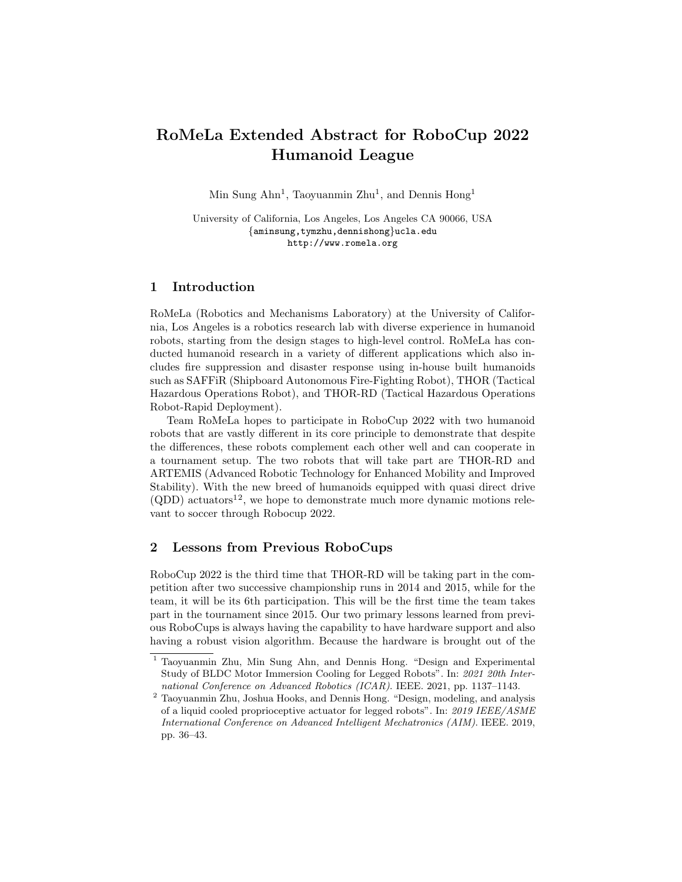# RoMeLa Extended Abstract for RoboCup 2022 Humanoid League

Min Sung Ahn<sup>1</sup>, Taoyuanmin Zhu<sup>1</sup>, and Dennis Hong<sup>1</sup>

University of California, Los Angeles, Los Angeles CA 90066, USA {aminsung,tymzhu,dennishong}ucla.edu http://www.romela.org

# 1 Introduction

RoMeLa (Robotics and Mechanisms Laboratory) at the University of California, Los Angeles is a robotics research lab with diverse experience in humanoid robots, starting from the design stages to high-level control. RoMeLa has conducted humanoid research in a variety of different applications which also includes fire suppression and disaster response using in-house built humanoids such as SAFFiR (Shipboard Autonomous Fire-Fighting Robot), THOR (Tactical Hazardous Operations Robot), and THOR-RD (Tactical Hazardous Operations Robot-Rapid Deployment).

Team RoMeLa hopes to participate in RoboCup 2022 with two humanoid robots that are vastly different in its core principle to demonstrate that despite the differences, these robots complement each other well and can cooperate in a tournament setup. The two robots that will take part are THOR-RD and ARTEMIS (Advanced Robotic Technology for Enhanced Mobility and Improved Stability). With the new breed of humanoids equipped with quasi direct drive  $(QDD)$  actuators<sup>12</sup>, we hope to demonstrate much more dynamic motions relevant to soccer through Robocup 2022.

# 2 Lessons from Previous RoboCups

RoboCup 2022 is the third time that THOR-RD will be taking part in the competition after two successive championship runs in 2014 and 2015, while for the team, it will be its 6th participation. This will be the first time the team takes part in the tournament since 2015. Our two primary lessons learned from previous RoboCups is always having the capability to have hardware support and also having a robust vision algorithm. Because the hardware is brought out of the

<sup>1</sup> Taoyuanmin Zhu, Min Sung Ahn, and Dennis Hong. "Design and Experimental Study of BLDC Motor Immersion Cooling for Legged Robots". In: 2021 20th International Conference on Advanced Robotics (ICAR). IEEE. 2021, pp. 1137–1143.

 $^{\rm 2}$  Taoyuanmin Zhu, Joshua Hooks, and Dennis Hong. "Design, modeling, and analysis of a liquid cooled proprioceptive actuator for legged robots". In: 2019 IEEE/ASME International Conference on Advanced Intelligent Mechatronics (AIM). IEEE. 2019, pp. 36–43.